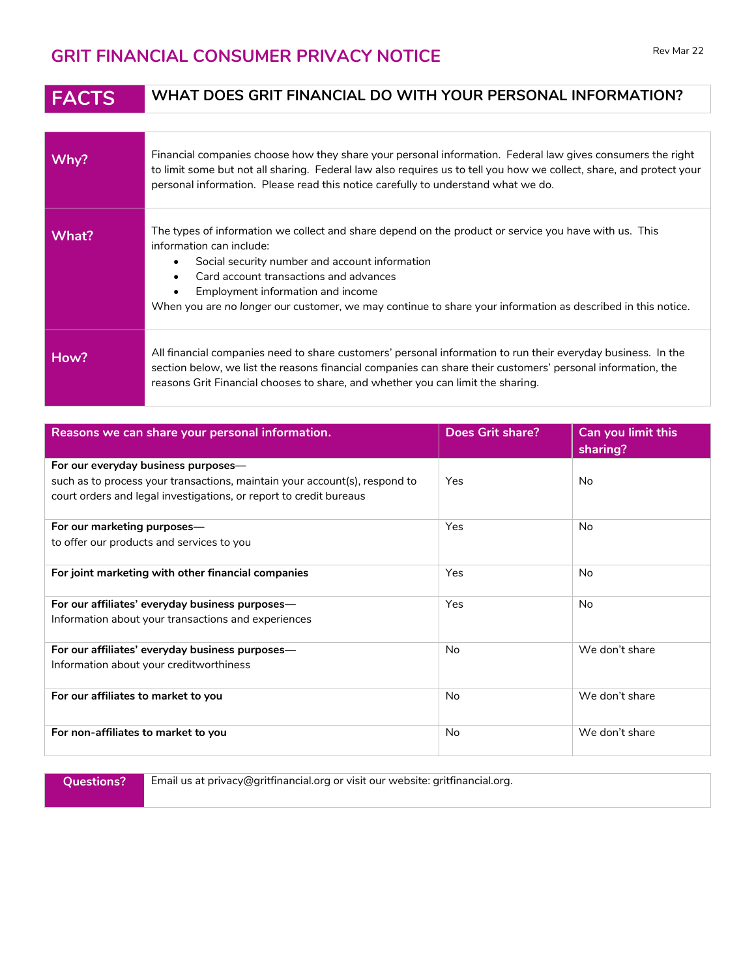## **GRIT FINANCIAL CONSUMER PRIVACY NOTICE** Rev Mar 22

## **FACTS WHAT DOES GRIT FINANCIAL DO WITH YOUR PERSONAL INFORMATION?**

| Why?  | Financial companies choose how they share your personal information. Federal law gives consumers the right<br>to limit some but not all sharing. Federal law also requires us to tell you how we collect, share, and protect your<br>personal information. Please read this notice carefully to understand what we do.                                                                                                   |
|-------|--------------------------------------------------------------------------------------------------------------------------------------------------------------------------------------------------------------------------------------------------------------------------------------------------------------------------------------------------------------------------------------------------------------------------|
| What? | The types of information we collect and share depend on the product or service you have with us. This<br>information can include:<br>Social security number and account information<br>$\bullet$<br>Card account transactions and advances<br>$\bullet$<br>Employment information and income<br>$\bullet$<br>When you are no longer our customer, we may continue to share your information as described in this notice. |
| How?  | All financial companies need to share customers' personal information to run their everyday business. In the<br>section below, we list the reasons financial companies can share their customers' personal information, the<br>reasons Grit Financial chooses to share, and whether you can limit the sharing.                                                                                                           |

| Reasons we can share your personal information.                            | Does Grit share? | Can you limit this<br>sharing? |
|----------------------------------------------------------------------------|------------------|--------------------------------|
| For our everyday business purposes—                                        |                  |                                |
| such as to process your transactions, maintain your account(s), respond to | Yes              | No                             |
| court orders and legal investigations, or report to credit bureaus         |                  |                                |
| For our marketing purposes-                                                | Yes              | No                             |
| to offer our products and services to you                                  |                  |                                |
| For joint marketing with other financial companies                         | Yes              | No                             |
| For our affiliates' everyday business purposes-                            | Yes              | No                             |
| Information about your transactions and experiences                        |                  |                                |
| For our affiliates' everyday business purposes—                            | <b>No</b>        | We don't share                 |
| Information about your creditworthiness                                    |                  |                                |
| For our affiliates to market to you                                        | <b>No</b>        | We don't share                 |
| For non-affiliates to market to you                                        | <b>No</b>        | We don't share                 |

**Questions?** Email us at privacy@gritfinancial.org or visit our website: gritfinancial.org.